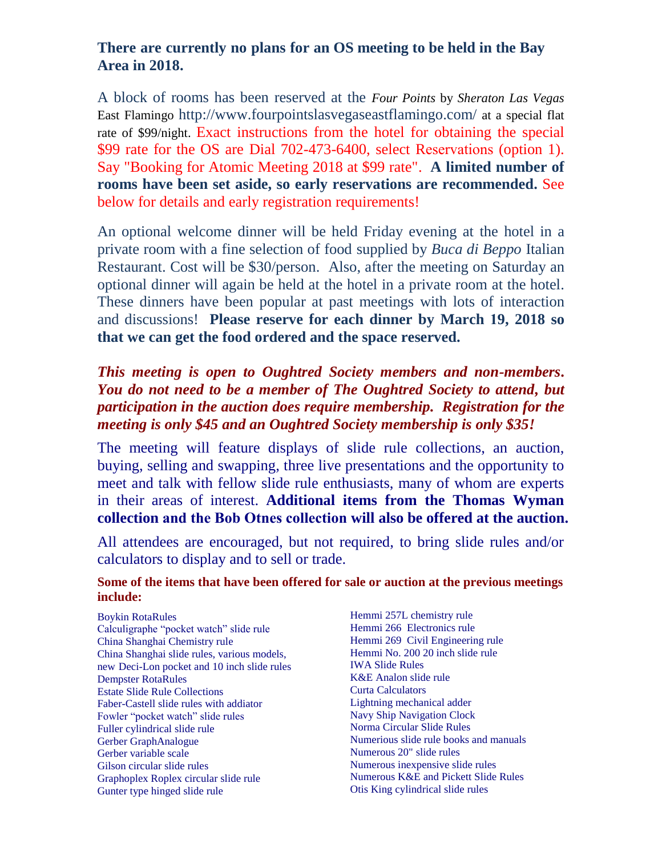A block of rooms LV EHLIQ served at the *Four Points* by *Sheraton Las Vegas* East Flamingo http://www.fourpointslasvegaseastflamingo.com/ at a special flat rate of \$ /night.  $3/(§ 6(§ 2') 2)$  &  $217$ \$ &  $7,1$  \*  $7+.$  $+27$  ( / \$7 7 + 6 7, 0 ( % & \$86 ( 7 + ), 1 \$ / & 2 1 7 5 \$ & 7 + \$6 127%((16[,\\*1\('](http://www.fourpointslasvegaseastflamingo.com/)

# \$6 6221 \$6 3266, % HIDFWLQVWURWLRURP WKHKRWHOU REWDLODOKN WSHFLDO UDWIRU WKH 200 EHSUHVHQWHGKHDU ZKLFKZLOOSUREDEO\EHDVIROORZV

Dial 702-473-6400, select Reservations (option 1). Say "Booking for Atomic Meeting 201 at \$ rate". **A limited number of rooms have been set aside, so early reservations are recommended.** See below for details and early registration requirements!

An optional welcome dinner will be held Friday evening at the hotel in a private room with a fine selection of food supplied by *Buca di Beppo* Italian Restaurant. Cost will be \$30/person. Also, after the meeting on Saturday an optional dinner will again be held at the hotel in a private room at the hotel. These dinners have been popular at past meetings with lots of interaction and discussions! **Please reserve for each dinner by March 1, 201 so that we can get the food ordered and the space reserved.**

# *This meeting is open to Oughtred Society members and non-members***.**  *You do not need to be a member of The Oughtred Society to attend, but participation in the auction does require membership. Registration for the meeting is only \$75 and an Oughtred Society membership is only \$35!*

The meeting will feature displays of slide rule collections, an auction, buying, selling and swapping, three live presentations and the opportunity to meet and talk with fellow slide rule enthusiasts, many of whom are experts in their areas of interest. **Additional items from the Thomas Wyman collection and the Bob Otnes collection will also be offered at the auction.**

All attendees are encouraged, but not required, to bring slide rules and/or Bayculators to display and to sell or trade. Hemmi 257L chemistry rule Salculigraphe "pocket watch" slide rule<br>**Somie of the items that have been offered for sale or auction at the previous meetings Unclude** Singhai slide rules, various models, China Shanghai Chemistry rule new Deci-Lon pocket and 10 inch slide rules Dempster RotaRules Estate Slide Rule Collections Faber-Castell slide rules with addiator Fowler "pocket watch" slide rules Fuller cylindrical slide rule Gerber GraphAnalogue Gerber variable scale Gilson circular slide rules Graphoplex Roplex circular slide rule Gunter type hinged slide rule Hemmi 266 Electronics rule Hemmi 269 Civil Engineering rule Hemmi No. 200 20 inch slide rule IWA Slide Rules K&E Analon slide rule Curta Calculators Lightning mechanical adder Navy Ship Navigation Clock Norma Circular Slide Rules Numerious slide rule books and manuals Numerous 20" slide rules Numerous inexpensive slide rules Numerous K&E and Pickett Slide Rules Otis King cylindrical slide rules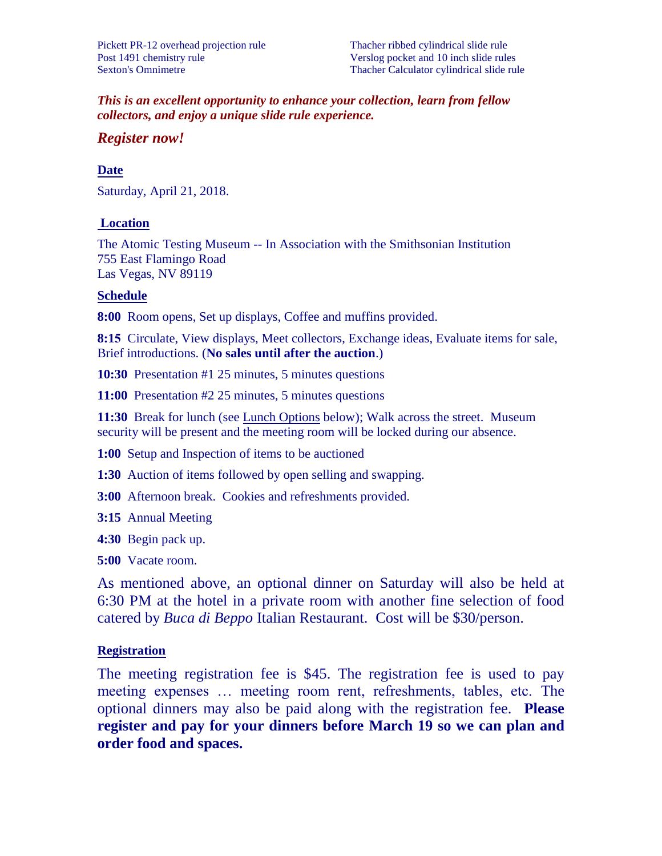*This is an excellent opportunity to enhance your collection, learn from fellow collectors, and enjoy a unique slide rule experience.* 

#### *Register now!*

#### **Date**

Saturday, April 20, 2019.

#### **Location**

The Atomic Testing Museum -- In Association with the Smithsonian Institution 755 East Flamingo Road Las Vegas, NV 89119

#### **Schedule**

**9:00** Room opens, Set up displays, Coffee and muffins provided.

**9:15** Circulate, View displays, Meet collectors, Exchange ideas, Evaluate items for sale, Brief introductions. (**No sales until after the auction**.)

**10:30** Presentation #1 25 minutes, 5 minutes questions

**11:00** Presentation #2 25 minutes, 5 minutes questions

**11:30** Break for lunch (see Lunch Options below); Walk across the street. Museum security will be present and the meeting room will be locked during our absence.

**1:00** Setup and Inspection of items to be auctioned

**1:30** Auction of items followed by open selling and swapping.

**3:00** Afternoon break. Cookies and refreshments provided.

**3:15** Annual Meeting

**4:30** Begin pack up.

**5:00** Vacate room.

As mentioned above, an optional dinner on Saturday will also be held at 6:30 PM at the hotel in a private room with another fine selection of food catered by *Buca di Beppo* Italian Restaurant. Cost will be \$30/person.

#### **Registration**

The meeting registration fee is \$75. The registration fee is used to pay meeting expenses … meeting room rent, refreshments, tables, etc. The optional dinners may also be paid along with the registration fee. **Please register and pay for your dinners before March 15 so we can plan and order food and spaces.**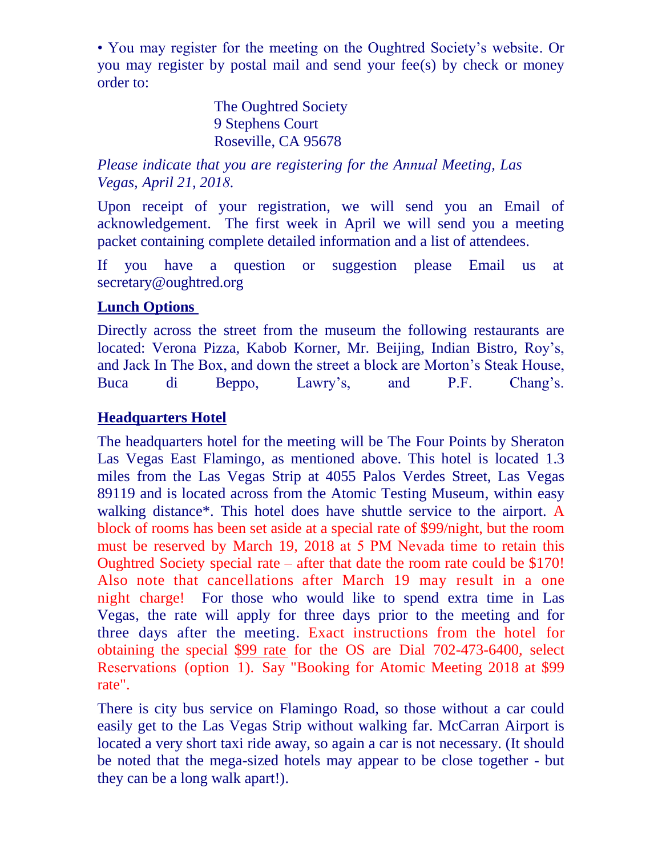• You may register for the meeting on the Oughtred Society's website. Or you may register by postal mail and send your fee(s) by check or money order to:

> The Oughtred Society 9 Stephens Court Roseville, CA 95678

*Please indicate that you are registering for the Annual Meeting, Las Vegas, April 20, 2019.* 

Upon receipt of your registration, we will send you an Email of acknowledgement. The first week in April we will send you a meeting packet containing complete detailed information and a list of attendees.

If you have a question or suggestion please Email us at secretary@oughtred.org

# **Lunch Options**

Directly across the street from the museum the following restaurants are located: Verona Pizza, Kabob Korner, Mr. Beijing, Indian Bistro, Roy's, and Jack In The Box, and down the street a block are Morton's Steak House, Buca di Beppo, Lawry's, and P.F. Chang's.

# **Headquarters Hotel**

The headquarters hotel for the meeting will be The Four Points by Sheraton Las Vegas East Flamingo, as mentioned above. This hotel is located 1.3 miles from the Las Vegas Strip at 4055 Palos Verdes Street, Las Vegas 89119 and is located across from the Atomic Testing Museum, within easy walking distance\*. This hotel does have shuttle service to the airport. A block of rooms is being set aside at a special rate of \$102/night, but the room must be reserved by March 15, 2019 at 5 PM Nevada time to retain this Oughtred Society special rate – after that date the room rate could be \$170 or more! Also note that cancellations after March 19 may result in a one night charge! For those who would like to spend extra time in Las Vegas, the rate will apply for three days prior to the meeting and for three days after the meeting.

There is city bus service on Flamingo Road, so those without a car could easily get to the Las Vegas Strip without walking far. McCarran Airport is located a very short taxi ride away, so again a car is not necessary. (It should be noted that the mega-sized hotels may appear to be close together - but they can be a long walk apart!).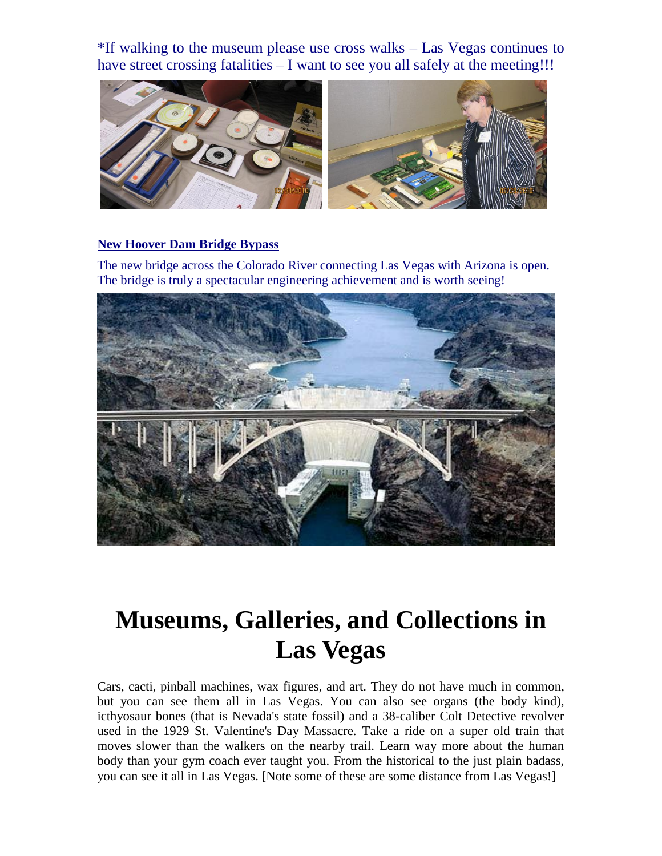\*If walking to the museum please use cross walks – Las Vegas continues to have street crossing fatalities – I want to see you all safely at the meeting!!!



#### **New Hoover Dam Bridge Bypass**

The new bridge across the Colorado River connecting Las Vegas with Arizona is open. The bridge is truly a spectacular engineering achievement and is worth seeing!



# **Museums, Galleries, and Collections in Las Vegas**

Cars, cacti, pinball machines, wax figures, and art. They do not have much in common, but you can see them all in Las Vegas. You can also see organs (the body kind), icthyosaur bones (that is Nevada's state fossil) and a 38-caliber Colt Detective revolver used in the 1929 St. Valentine's Day Massacre. Take a ride on a super old train that moves slower than the walkers on the nearby trail. Learn way more about the human body than your gym coach ever taught you. From the historical to the just plain badass, you can see it all in Las Vegas. [Note some of these are some distance from Las Vegas!]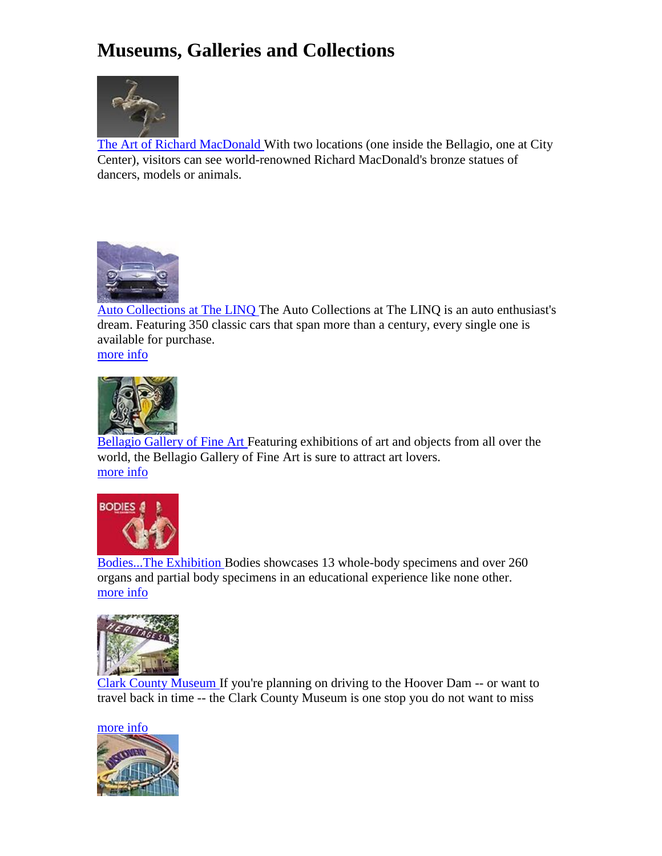# **Museums, Galleries and Collections**



[The Art of Richard MacDonald W](https://www.vegas.com/attractions/on-the-strip/bellagio-richard-mcdonald-art/index.html)ith two locations (one inside the Bellagio, one at City Center), visitors can see world-renowned Richard MacDonald's bronze statues of dancers, models or animals.



[Auto Collections at The LINQ T](https://www.vegas.com/attractions/on-the-strip/quad-auto-collections/index.html)he Auto Collections at The LINQ is an auto enthusiast's dream. Featuring 350 classic cars that span more than a century, every single one is available for purchase.





[Bellagio Gallery of Fine Art F](https://www.vegas.com/attractions/on-the-strip/bellagio-gallery/index.html)eaturing exhibitions of art and objects from all over the world, the Bellagio Gallery of Fine Art is sure to attract art lovers. [more info](https://www.vegas.com/attractions/on-the-strip/bellagio-gallery/index.html)



[Bodies...The Exhibition B](https://www.vegas.com/attractions/on-the-strip/luxor-bodies/index.html)odies showcases 13 whole-body specimens and over 260 organs and partial body specimens in an educational experience like none other. [more info](https://www.vegas.com/attractions/on-the-strip/luxor-bodies/index.html)



[Clark County Museum I](https://www.vegas.com/attractions/off-the-strip/clark-county-museum/index.html)f you're planning on driving to the Hoover Dam -- or want to travel back in time -- the Clark County Museum is one stop you do not want to miss

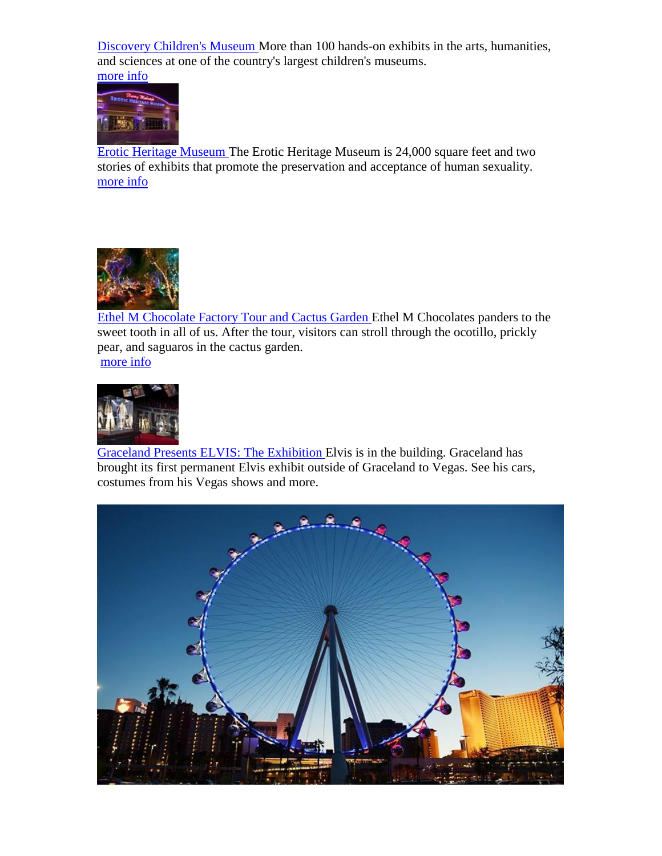[Discovery Children's Museum M](https://www.vegas.com/attractions/off-the-strip/discovery-childrens-museum/index.html)ore than 100 hands-on exhibits in the arts, humanities, and sciences at one of the country's largest children's museums. [more info](https://www.vegas.com/attractions/off-the-strip/discovery-childrens-museum/index.html)



[Erotic Heritage Museum T](https://www.vegas.com/attractions/off-the-strip/erotic-heritage-museum/index.html)he Erotic Heritage Museum is 24,000 square feet and two stories of exhibits that promote the preservation and acceptance of human sexuality. [more info](https://www.vegas.com/attractions/off-the-strip/erotic-heritage-museum/index.html)



[Ethel M Chocolate Factory Tour and Cactus Garden E](https://www.vegas.com/attractions/off-the-strip/ethel-m/index.html)thel M Chocolates panders to the sweet tooth in all of us. After the tour, visitors can stroll through the ocotillo, prickly pear, and saguaros in the cactus garden.

[more info](https://www.vegas.com/attractions/off-the-strip/ethel-m/index.html)



[Graceland Presents ELVIS: The Exhibition E](https://www.vegas.com/attractions/off-the-strip/elvisexhibitwestgate/index.html)lvis is in the building. Graceland has brought its first permanent Elvis exhibit outside of Graceland to Vegas. See his cars, costumes from his Vegas shows and more.

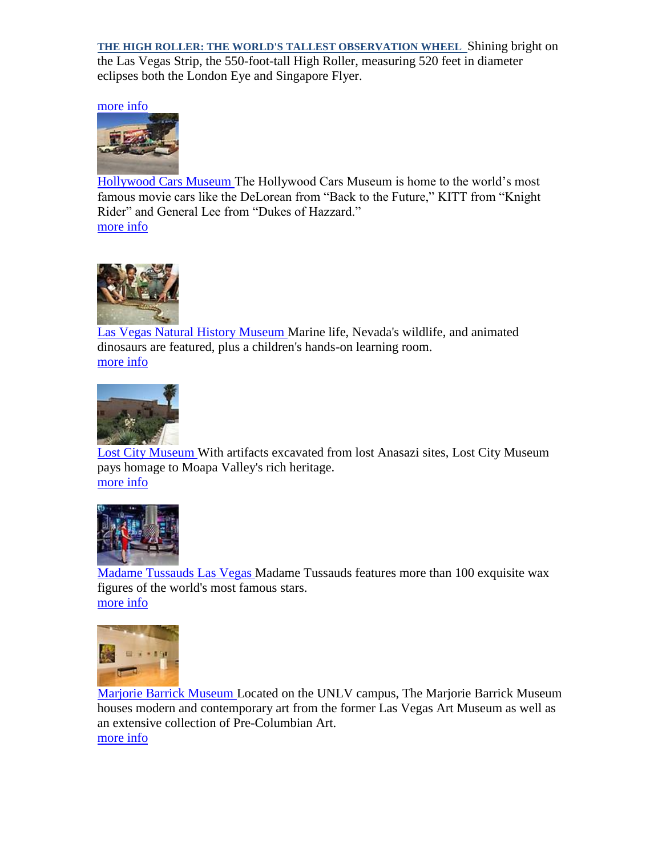**THE HIGH ROLLER: THE WORLD'S TALLEST OBSERVATION WHEEL** Shining bright on the Las Vegas Strip, the 550-foot-tall High Roller, measuring 520 feet in diameter eclipses both the London Eye and Singapore Flyer.

[more info](https://www.vegas.com/attractions/off-the-strip/elvisexhibitwestgate/index.html)



[Hollywood Cars Museum T](https://www.vegas.com/attractions/on-the-strip/hollywood-cars-museum/index.html)he Hollywood Cars Museum is home to the world's most famous movie cars like the DeLorean from "Back to the Future," KITT from "Knight Rider" and General Lee from "Dukes of Hazzard." [more info](https://www.vegas.com/attractions/on-the-strip/hollywood-cars-museum/index.html)



[Las Vegas Natural History Museum M](https://www.vegas.com/attractions/off-the-strip/natural-history-museum/index.html)arine life, Nevada's wildlife, and animated dinosaurs are featured, plus a children's hands-on learning room. [more info](https://www.vegas.com/attractions/off-the-strip/natural-history-museum/index.html)



[Lost City Museum W](https://www.vegas.com/attractions/near-las-vegas/lost-city-museum-overton/index.html)ith artifacts excavated from lost Anasazi sites, Lost City Museum pays homage to Moapa Valley's rich heritage. [more info](https://www.vegas.com/attractions/near-las-vegas/lost-city-museum-overton/index.html)



[Madame Tussauds Las Vegas M](https://www.vegas.com/attractions/on-the-strip/venetian-madame-tussauds/index.html)adame Tussauds features more than 100 exquisite wax figures of the world's most famous stars. [more info](https://www.vegas.com/attractions/on-the-strip/venetian-madame-tussauds/index.html)



[Marjorie Barrick Museum L](https://www.vegas.com/attractions/off-the-strip/marjorie-barrick-museum/index.html)ocated on the UNLV campus, The Marjorie Barrick Museum houses modern and contemporary art from the former Las Vegas Art Museum as well as an extensive collection of Pre-Columbian Art. [more info](https://www.vegas.com/attractions/off-the-strip/marjorie-barrick-museum/index.html)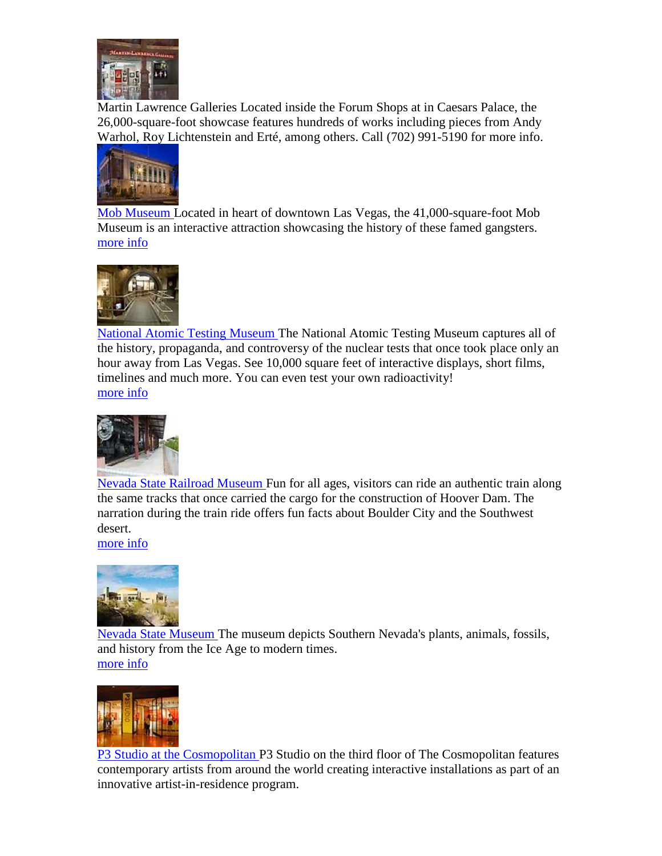

Martin Lawrence Galleries Located inside the Forum Shops at in Caesars Palace, the 26,000-square-foot showcase features hundreds of works including pieces from Andy Warhol, Roy Lichtenstein and Erté, among others. Call (702) 991-5190 for more info.



[Mob Museum L](https://www.vegas.com/attractions/off-the-strip/mob-museum/index.html)ocated in heart of downtown Las Vegas, the 41,000-square-foot Mob Museum is an interactive attraction showcasing the history of these famed gangsters. [more info](https://www.vegas.com/attractions/off-the-strip/mob-museum/index.html)



[National Atomic Testing Museum T](https://www.vegas.com/attractions/off-the-strip/atomic-testing-museum/index.html)he National Atomic Testing Museum captures all of the history, propaganda, and controversy of the nuclear tests that once took place only an hour away from Las Vegas. See 10,000 square feet of interactive displays, short films, timelines and much more. You can even test your own radioactivity! [more info](https://www.vegas.com/attractions/off-the-strip/atomic-testing-museum/index.html)



[Nevada State Railroad Museum F](https://www.vegas.com/attractions/near-las-vegas/nevada-railroad/index.html)un for all ages, visitors can ride an authentic train along the same tracks that once carried the cargo for the construction of Hoover Dam. The narration during the train ride offers fun facts about Boulder City and the Southwest desert.

[more info](https://www.vegas.com/attractions/near-las-vegas/nevada-railroad/index.html)



[Nevada State Museum T](https://www.vegas.com/attractions/off-the-strip/nevada-state-museum/index.html)he museum depicts Southern Nevada's plants, animals, fossils, and history from the Ice Age to modern times. [more info](https://www.vegas.com/attractions/off-the-strip/nevada-state-museum/index.html)



[P3 Studio at the Cosmopolitan P](https://www.vegas.com/attractions/on-the-strip/p3-studio-cosmopolitan/index.html)3 Studio on the third floor of The Cosmopolitan features contemporary artists from around the world creating interactive installations as part of an innovative artist-in-residence program.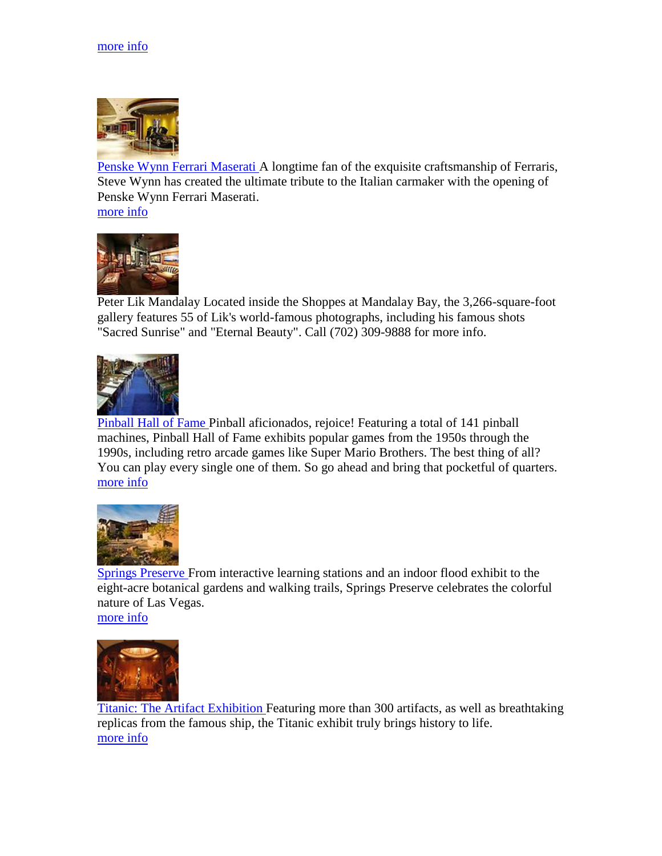

[Penske Wynn Ferrari Maserati A](https://www.vegas.com/attractions/on-the-strip/wynn-ferrari/index.html) longtime fan of the exquisite craftsmanship of Ferraris, Steve Wynn has created the ultimate tribute to the Italian carmaker with the opening of Penske Wynn Ferrari Maserati. [more info](https://www.vegas.com/attractions/on-the-strip/wynn-ferrari/index.html)



Peter Lik Mandalay Located inside the Shoppes at Mandalay Bay, the 3,266-square-foot gallery features 55 of Lik's world-famous photographs, including his famous shots "Sacred Sunrise" and "Eternal Beauty". Call (702) 309-9888 for more info.



[Pinball Hall of Fame P](https://www.vegas.com/attractions/off-the-strip/pinball-hall-of-fame/index.html)inball aficionados, rejoice! Featuring a total of 141 pinball machines, Pinball Hall of Fame exhibits popular games from the 1950s through the 1990s, including retro arcade games like Super Mario Brothers. The best thing of all? You can play every single one of them. So go ahead and bring that pocketful of quarters. [more info](https://www.vegas.com/attractions/off-the-strip/pinball-hall-of-fame/index.html)



[Springs Preserve F](https://www.vegas.com/attractions/off-the-strip/springs-preserve/index.html)rom interactive learning stations and an indoor flood exhibit to the eight-acre botanical gardens and walking trails, Springs Preserve celebrates the colorful nature of Las Vegas. [more info](https://www.vegas.com/attractions/off-the-strip/springs-preserve/index.html)



[Titanic: The Artifact Exhibition F](https://www.vegas.com/attractions/on-the-strip/luxor-titanic/index.html)eaturing more than 300 artifacts, as well as breathtaking replicas from the famous ship, the Titanic exhibit truly brings history to life. [more info](https://www.vegas.com/attractions/on-the-strip/luxor-titanic/index.html)